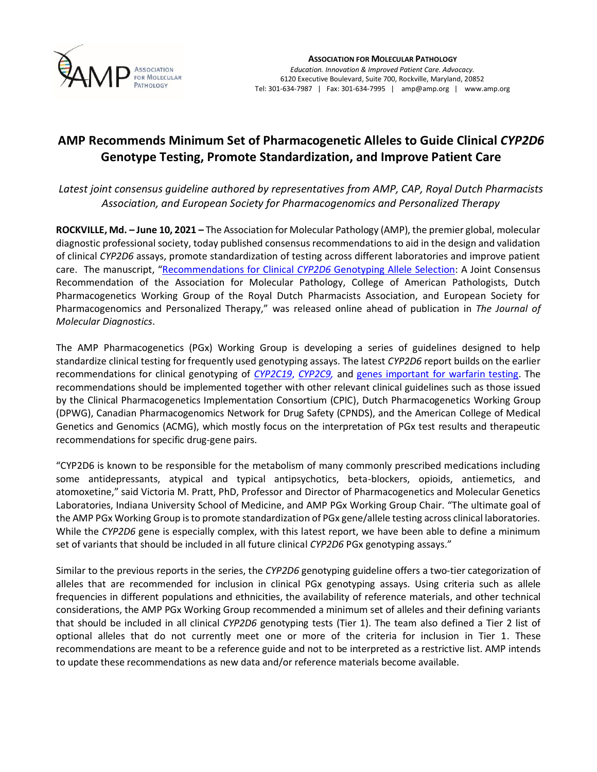

## **AMP Recommends Minimum Set of Pharmacogenetic Alleles to Guide Clinical** *CYP2D6*  **Genotype Testing, Promote Standardization, and Improve Patient Care**

*Latest joint consensus guideline authored by representatives from AMP, CAP, Royal Dutch Pharmacists Association, and European Society for Pharmacogenomics and Personalized Therapy*

**ROCKVILLE, Md. – June 10, 2021 –** The Association for Molecular Pathology (AMP), the premier global, molecular diagnostic professional society, today published consensus recommendations to aid in the design and validation of clinical *CYP2D6* assays, promote standardization of testing across different laboratories and improve patient care. The manuscript, "[Recommendations for Clinical](https://doi.org/10.1016/j.jmoldx.2021.05.013) *CYP2D6* Genotyping Allele Selection: A Joint Consensus Recommendation of the Association for Molecular Pathology, College of American Pathologists, Dutch Pharmacogenetics Working Group of the Royal Dutch Pharmacists Association, and European Society for Pharmacogenomics and Personalized Therapy," was released online ahead of publication in *The Journal of Molecular Diagnostics*.

The AMP Pharmacogenetics (PGx) Working Group is developing a series of guidelines designed to help standardize clinical testing for frequently used genotyping assays. The latest *CYP2D6* report builds on the earlier recommendations for clinical genotyping of *[CYP2C19](https://www.amp.org/AMP/assets/File/pressreleases/2018/AMP_CYP2C19PGx_FINAL_022618.pdf?pass=1)*, *[CYP2C9,](https://www.amp.org/AMP/assets/File/pressreleases/2019/CYP2C9_Publication_050919.pdf?pass=46)* and [genes important for warfarin testing.](https://www.amp.org/AMP/assets/File/pressreleases/2020/Warfarin_Sensitivity_Genotyping_Press_Release.pdf?pass=63) The recommendations should be implemented together with other relevant clinical guidelines such as those issued by the Clinical Pharmacogenetics Implementation Consortium (CPIC), Dutch Pharmacogenetics Working Group (DPWG), Canadian Pharmacogenomics Network for Drug Safety (CPNDS), and the American College of Medical Genetics and Genomics (ACMG), which mostly focus on the interpretation of PGx test results and therapeutic recommendations for specific drug-gene pairs.

"CYP2D6 is known to be responsible for the metabolism of many commonly prescribed medications including some antidepressants, atypical and typical antipsychotics, beta-blockers, opioids, antiemetics, and atomoxetine," said Victoria M. Pratt, PhD, Professor and Director of Pharmacogenetics and Molecular Genetics Laboratories, Indiana University School of Medicine, and AMP PGx Working Group Chair. "The ultimate goal of the AMP PGx Working Group is to promote standardization of PGx gene/allele testing across clinical laboratories. While the *CYP2D6* gene is especially complex, with this latest report, we have been able to define a minimum set of variants that should be included in all future clinical *CYP2D6* PGx genotyping assays."

Similar to the previous reports in the series, the *CYP2D6* genotyping guideline offers a two-tier categorization of alleles that are recommended for inclusion in clinical PGx genotyping assays. Using criteria such as allele frequencies in different populations and ethnicities, the availability of reference materials, and other technical considerations, the AMP PGx Working Group recommended a minimum set of alleles and their defining variants that should be included in all clinical *CYP2D6* genotyping tests (Tier 1). The team also defined a Tier 2 list of optional alleles that do not currently meet one or more of the criteria for inclusion in Tier 1. These recommendations are meant to be a reference guide and not to be interpreted as a restrictive list. AMP intends to update these recommendations as new data and/or reference materials become available.